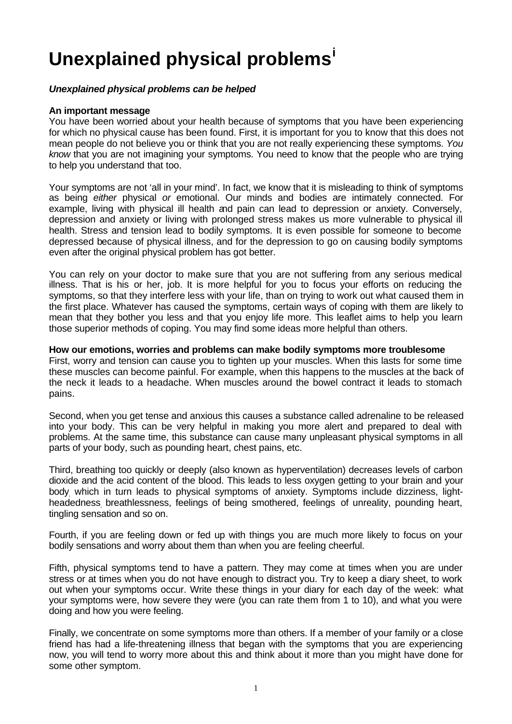# **Unexplained physical problems<sup>i</sup>**

## *Unexplained physical problems can be helped*

#### **An important message**

You have been worried about your health because of symptoms that you have been experiencing for which no physical cause has been found. First, it is important for you to know that this does not mean people do not believe you or think that you are not really experiencing these symptoms. *You know* that you are not imagining your symptoms. You need to know that the people who are trying to help you understand that too.

Your symptoms are not 'all in your mind'. In fact, we know that it is misleading to think of symptoms as being *either* physical *or* emotional. Our minds and bodies are intimately connected. For example, living with physical ill health and pain can lead to depression or anxiety. Conversely, depression and anxiety or living with prolonged stress makes us more vulnerable to physical ill health. Stress and tension lead to bodily symptoms. It is even possible for someone to become depressed because of physical illness, and for the depression to go on causing bodily symptoms even after the original physical problem has got better.

You can rely on your doctor to make sure that you are not suffering from any serious medical illness. That is his or her, job. It is more helpful for you to focus your efforts on reducing the symptoms, so that they interfere less with your life, than on trying to work out what caused them in the first place. Whatever has caused the symptoms, certain ways of coping with them are likely to mean that they bother you less and that you enjoy life more. This leaflet aims to help you learn those superior methods of coping. You may find some ideas more helpful than others.

**How our emotions, worries and problems can make bodily symptoms more troublesome**

First, worry and tension can cause you to tighten up your muscles. When this lasts for some time these muscles can become painful. For example, when this happens to the muscles at the back of the neck it leads to a headache. When muscles around the bowel contract it leads to stomach pains.

Second, when you get tense and anxious this causes a substance called adrenaline to be released into your body. This can be very helpful in making you more alert and prepared to deal with problems. At the same time, this substance can cause many unpleasant physical symptoms in all parts of your body, such as pounding heart, chest pains, etc.

Third, breathing too quickly or deeply (also known as hyperventilation) decreases levels of carbon dioxide and the acid content of the blood. This leads to less oxygen getting to your brain and your body, which in turn leads to physical symptoms of anxiety. Symptoms include dizziness, lightheadedness, breathlessness, feelings of being smothered, feelings of unreality, pounding heart, tingling sensation and so on.

Fourth, if you are feeling down or fed up with things you are much more likely to focus on your bodily sensations and worry about them than when you are feeling cheerful.

Fifth, physical symptoms tend to have a pattern. They may come at times when you are under stress or at times when you do not have enough to distract you. Try to keep a diary sheet, to work out when your symptoms occur. Write these things in your diary for each day of the week: what your symptoms were, how severe they were (you can rate them from 1 to 10), and what you were doing and how you were feeling.

Finally, we concentrate on some symptoms more than others. If a member of your family or a close friend has had a life-threatening illness that began with the symptoms that you are experiencing now, you will tend to worry more about this and think about it more than you might have done for some other symptom.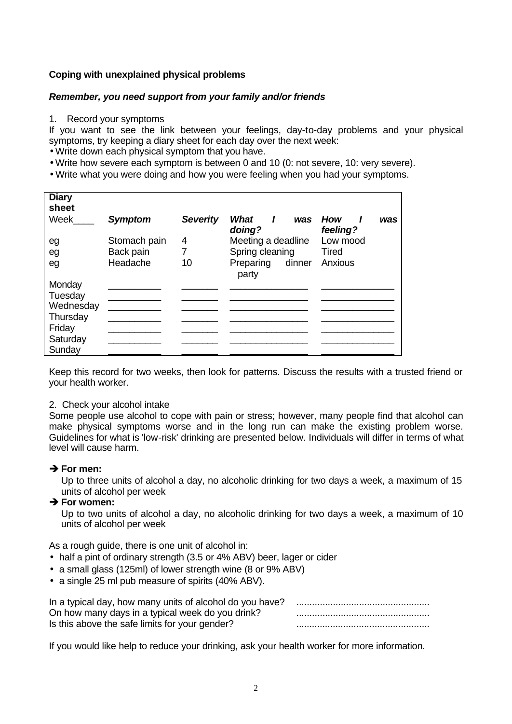# **Coping with unexplained physical problems**

## *Remember, you need support from your family and/or friends*

1. Record your symptoms

If you want to see the link between your feelings, day-to-day problems and your physical symptoms, try keeping a diary sheet for each day over the next week:

- Write down each physical symptom that you have.
- Write how severe each symptom is between 0 and 10 (0: not severe, 10: very severe).
- Write what you were doing and how you were feeling when you had your symptoms.

| <b>Diary</b><br>sheet |                |                 |                                       |                        |
|-----------------------|----------------|-----------------|---------------------------------------|------------------------|
| Week                  | <b>Symptom</b> | <b>Severity</b> | What<br>$\mathbf{I}$<br>was<br>doing? | How<br>was<br>feeling? |
| eg                    | Stomach pain   | 4               | Meeting a deadline                    | Low mood               |
| eg                    | Back pain      |                 | Spring cleaning                       | Tired                  |
| eg                    | Headache       | 10              | Preparing<br>dinner<br>party          | Anxious                |
| Monday                |                |                 |                                       |                        |
| Tuesday               |                |                 |                                       |                        |
| Wednesday             |                |                 |                                       |                        |
| Thursday              |                |                 |                                       |                        |
| Friday                |                |                 |                                       |                        |
| Saturday              |                |                 |                                       |                        |
| Sunday                |                |                 |                                       |                        |

Keep this record for two weeks, then look for patterns. Discuss the results with a trusted friend or your health worker.

#### 2. Check your alcohol intake

Some people use alcohol to cope with pain or stress; however, many people find that alcohol can make physical symptoms worse and in the long run can make the existing problem worse. Guidelines for what is 'low-risk' drinking are presented below. Individuals will differ in terms of what level will cause harm.

#### $→$  **For men:**

Up to three units of alcohol a day, no alcoholic drinking for two days a week, a maximum of 15 units of alcohol per week

## $→$  **For women:**

Up to two units of alcohol a day, no alcoholic drinking for two days a week, a maximum of 10 units of alcohol per week

As a rough guide, there is one unit of alcohol in:

- half a pint of ordinary strength (3.5 or 4% ABV) beer, lager or cider
- a small glass (125ml) of lower strength wine (8 or 9% ABV)
- a single 25 ml pub measure of spirits (40% ABV).

| On how many days in a typical week do you drink? |  |
|--------------------------------------------------|--|
| Is this above the safe limits for your gender?   |  |

If you would like help to reduce your drinking, ask your health worker for more information.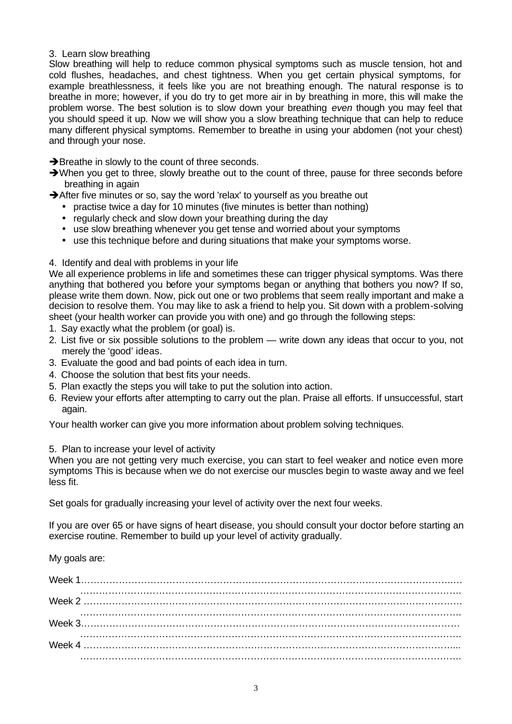### 3. Learn slow breathing

Slow breathing will help to reduce common physical symptoms such as muscle tension, hot and cold flushes, headaches, and chest tightness. When you get certain physical symptoms, for example breathlessness, it feels like you are not breathing enough. The natural response is to breathe in more; however, if you do try to get more air in by breathing in more, this will make the problem worse. The best solution is to slow down your breathing *even* though you may feel that you should speed it up. Now we will show you a slow breathing technique that can help to reduce many different physical symptoms. Remember to breathe in using your abdomen (not your chest) and through your nose.

 $\rightarrow$  Breathe in slowly to the count of three seconds.

- $\rightarrow$  When you get to three, slowly breathe out to the count of three, pause for three seconds before breathing in again
- $\rightarrow$  After five minutes or so, say the word 'relax' to yourself as you breathe out
	- practise twice a day for 10 minutes (five minutes is better than nothing)
	- regularly check and slow down your breathing during the day
	- use slow breathing whenever you get tense and worried about your symptoms
	- use this technique before and during situations that make your symptoms worse.

## 4. Identify and deal with problems in your life

We all experience problems in life and sometimes these can trigger physical symptoms. Was there anything that bothered you before your symptoms began or anything that bothers you now? If so, please write them down. Now, pick out one or two problems that seem really important and make a decision to resolve them. You may like to ask a friend to help you. Sit down with a problem-solving sheet (your health worker can provide you with one) and go through the following steps:

- 1. Say exactly what the problem (or goal) is.
- 2. List five or six possible solutions to the problem write down any ideas that occur to you, not merely the 'good' ideas.
- 3. Evaluate the good and bad points of each idea in turn.
- 4. Choose the solution that best fits your needs.
- 5. Plan exactly the steps you will take to put the solution into action.
- 6. Review your efforts after attempting to carry out the plan. Praise all efforts. If unsuccessful, start again.

Your health worker can give you more information about problem solving techniques.

## 5. Plan to increase your level of activity

When you are not getting very much exercise, you can start to feel weaker and notice even more symptoms This is because when we do not exercise our muscles begin to waste away and we feel less fit.

Set goals for gradually increasing your level of activity over the next four weeks.

If you are over 65 or have signs of heart disease, you should consult your doctor before starting an exercise routine. Remember to build up your level of activity gradually.

My goals are: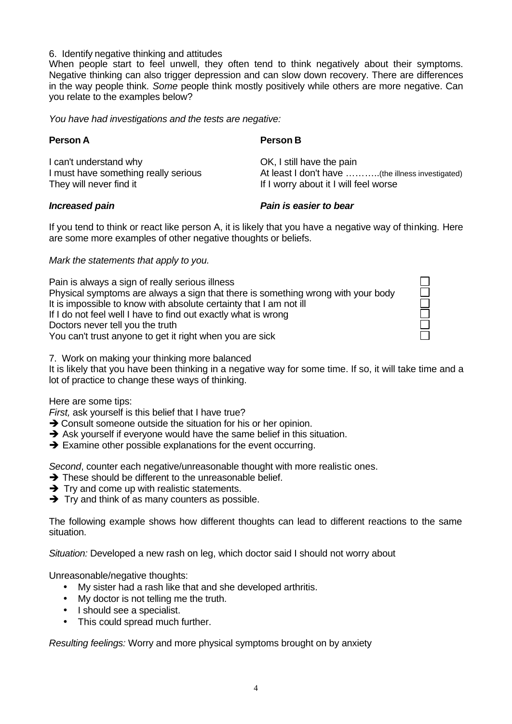#### 6. Identify negative thinking and attitudes

When people start to feel unwell, they often tend to think negatively about their symptoms. Negative thinking can also trigger depression and can slow down recovery. There are differences in the way people think. *Some* people think mostly positively while others are more negative. Can you relate to the examples below?

*You have had investigations and the tests are negative:*

## **Person A**

I can't understand why I must have something really serious They will never find it

OK, I still have the pain At least I don't have ………..(the illness investigated) If I worry about it I will feel worse

## *Increased pain*

## *Pain is easier to bear*

If you tend to think or react like person A, it is likely that you have a negative way of thinking. Here are some more examples of other negative thoughts or beliefs.

*Mark the statements that apply to you.*

| Pain is always a sign of really serious illness                                  |  |
|----------------------------------------------------------------------------------|--|
| Physical symptoms are always a sign that there is something wrong with your body |  |
| It is impossible to know with absolute certainty that I am not ill               |  |
| If I do not feel well I have to find out exactly what is wrong                   |  |
| Doctors never tell you the truth                                                 |  |
| You can't trust anyone to get it right when you are sick                         |  |

 $\Box$ 

7. Work on making your thinking more balanced

It is likely that you have been thinking in a negative way for some time. If so, it will take time and a lot of practice to change these ways of thinking.

Here are some tips:

*First,* ask yourself is this belief that I have true?

- $\rightarrow$  Consult someone outside the situation for his or her opinion.
- $\rightarrow$  Ask yourself if everyone would have the same belief in this situation.
- $\rightarrow$  Examine other possible explanations for the event occurring.

*Second*, counter each negative/unreasonable thought with more realistic ones.

- $\rightarrow$  These should be different to the unreasonable belief.
- $\rightarrow$  Try and come up with realistic statements.
- $\rightarrow$  Try and think of as many counters as possible.

The following example shows how different thoughts can lead to different reactions to the same situation.

*Situation:* Developed a new rash on leg, which doctor said I should not worry about

Unreasonable/negative thoughts:

- My sister had a rash like that and she developed arthritis.
- My doctor is not telling me the truth.
- I should see a specialist.
- This could spread much further.

*Resulting feelings:* Worry and more physical symptoms brought on by anxiety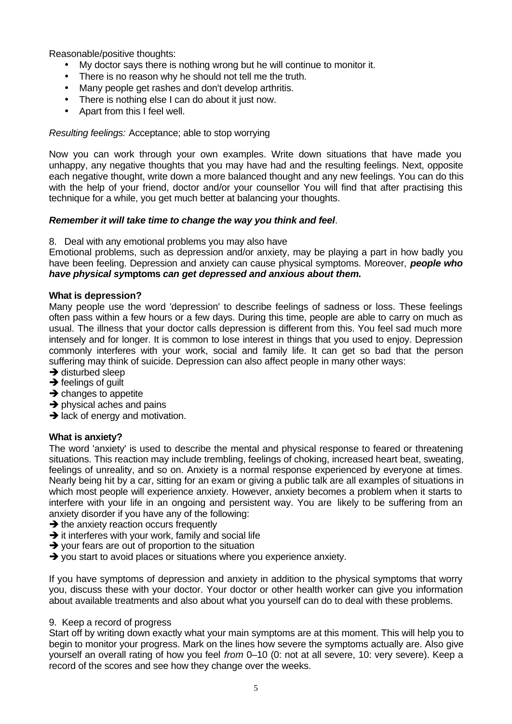Reasonable/positive thoughts:

- My doctor says there is nothing wrong but he will continue to monitor it.
- There is no reason why he should not tell me the truth.
- Many people get rashes and don't develop arthritis.
- There is nothing else I can do about it just now.
- Apart from this I feel well.

## *Resulting feelings:* Acceptance; able to stop worrying

Now you can work through your own examples. Write down situations that have made you unhappy, any negative thoughts that you may have had and the resulting feelings. Next, opposite each negative thought, write down a more balanced thought and any new feelings. You can do this with the help of your friend, doctor and/or your counsellor You will find that after practising this technique for a while, you get much better at balancing your thoughts.

## *Remember it will take time to change the way you think and feel*.

8. Deal with any emotional problems you may also have

Emotional problems, such as depression and/or anxiety, may be playing a part in how badly you have been feeling. Depression and anxiety can cause physical symptoms. Moreover, *people who have physical sy***mptoms** *can get depressed and anxious about them.*

#### **What is depression?**

Many people use the word 'depression' to describe feelings of sadness or loss. These feelings often pass within a few hours or a few days. During this time, people are able to carry on much as usual. The illness that your doctor calls depression is different from this. You feel sad much more intensely and for longer. It is common to lose interest in things that you used to enjoy. Depression commonly interferes with your work, social and family life. It can get so bad that the person suffering may think of suicide. Depression can also affect people in many other ways:

- $\rightarrow$  disturbed sleep
- $\rightarrow$  feelings of quilt
- $\rightarrow$  changes to appetite
- $\rightarrow$  physical aches and pains
- $\rightarrow$  lack of energy and motivation.

## **What is anxiety?**

The word 'anxiety' is used to describe the mental and physical response to feared or threatening situations. This reaction may include trembling, feelings of choking, increased heart beat, sweating, feelings of unreality, and so on. Anxiety is a normal response experienced by everyone at times. Nearly being hit by a car, sitting for an exam or giving a public talk are all examples of situations in which most people will experience anxiety. However, anxiety becomes a problem when it starts to interfere with your life in an ongoing and persistent way. You are likely to be suffering from an anxiety disorder if you have any of the following:

- $\rightarrow$  the anxiety reaction occurs frequently
- $\rightarrow$  it interferes with your work, family and social life
- $\rightarrow$  your fears are out of proportion to the situation
- $\rightarrow$  you start to avoid places or situations where you experience anxiety.

If you have symptoms of depression and anxiety in addition to the physical symptoms that worry you, discuss these with your doctor. Your doctor or other health worker can give you information about available treatments and also about what you yourself can do to deal with these problems.

#### 9. Keep a record of progress

Start off by writing down exactly what your main symptoms are at this moment. This will help you to begin to monitor your progress. Mark on the lines how severe the symptoms actually are. Also give yourself an overall rating of how you feel *from* 0–10 (0: not at all severe, 10: very severe). Keep a record of the scores and see how they change over the weeks.